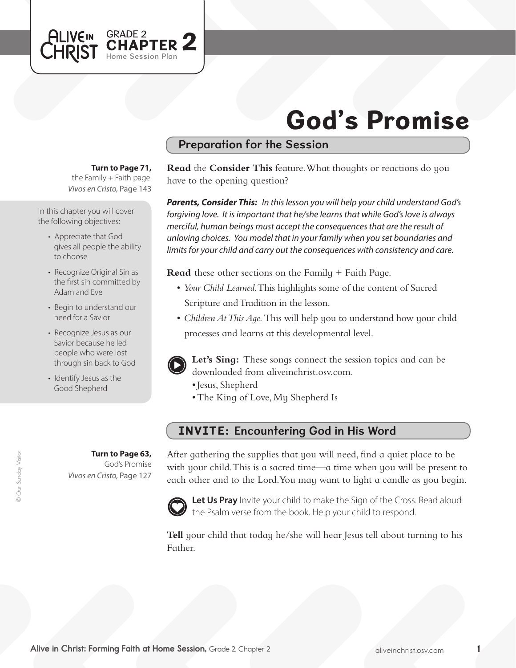

# God's Promise

### Preparation for the Session

#### **Turn to Page 71,**

the Family  $+$  Faith page. *Vivos en Cristo,* Page 143

In this chapter you will cover the following objectives:

- Appreciate that God gives all people the ability to choose
- Recognize Original Sin as the first sin committed by Adam and Eve
- Begin to understand our need for a Savior
- Recognize Jesus as our Savior because he led people who were lost through sin back to God
- Identify Jesus as the Good Shepherd

**Turn to Page 63,** God's Promise *Vivos en Cristo,* Page 127

**Read** the **Consider This** feature. What thoughts or reactions do you have to the opening question?

*Parents, Consider This: In this lesson you will help your child understand God's forgiving love. It is important that he/she learns that while God's love is always merciful, human beings must accept the consequences that are the result of unloving choices. You model that in your family when you set boundaries and limits for your child and carry out the consequences with consistency and care.*

**Read** these other sections on the Family + Faith Page.

- • *Your Child Learned*. This highlights some of the content of Sacred Scripture and Tradition in the lesson.
- *Children At This Aqe*. This will help you to understand how your child processes and learns at this developmental level.



**Let's Sing:** These songs connect the session topics and can be downloaded from aliveinchrist.osv.com.

- Jesus, Shepherd
- The King of Love, My Shepherd Is

## INVITE: Encountering God in His Word

After gathering the supplies that you will need, find a quiet place to be with your child. This is a sacred time—a time when you will be present to each other and to the Lord.You may want to light a candle as you begin.



Let Us Pray Invite your child to make the Sign of the Cross. Read aloud the Psalm verse from the book. Help your child to respond.

**Tell** your child that today he/she will hear Jesus tell about turning to his Father.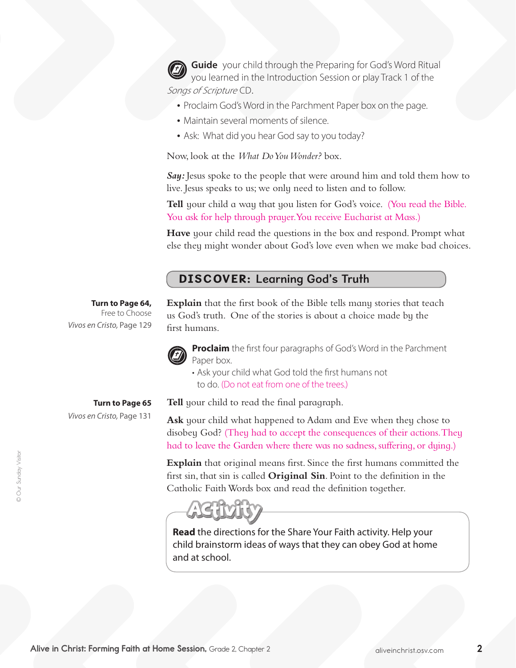**Guide** your child through the Preparing for God's Word Ritual you learned in the Introduction Session or play Track 1 of the Songs of Scripture CD.

- Proclaim God's Word in the Parchment Paper box on the page.
- Maintain several moments of silence.
- Ask: What did you hear God say to you today?

Now, look at the *What Do You Wonder?* box.

*Say:* Jesus spoke to the people that were around him and told them how to live. Jesus speaks to us; we only need to listen and to follow.

**Tell** your child a way that you listen for God's voice. (You read the Bible. You ask for help through prayer.You receive Eucharist at Mass.)

**Have** your child read the questions in the box and respond. Prompt what else they might wonder about God's love even when we make bad choices.

#### DISCOVER: Learning God's Truth

#### **Turn to Page 64,**

Free to Choose *Vivos en Cristo,* Page 129

**Turn to Page 65**

*Vivos en Cristo,* Page 131

**Explain** that the first book of the Bible tells many stories that teach us God's truth. One of the stories is about a choice made by the first humans.



**Proclaim** the first four paragraphs of God's Word in the Parchment Paper box.

• Ask your child what God told the first humans not to do. (Do not eat from one of the trees.)

**Tell** your child to read the final paragraph.

**Ask** your child what happened to Adam and Eve when they chose to disobey God? (They had to accept the consequences of their actions. They had to leave the Garden where there was no sadness, suffering, or dying.)

**Explain** that original means first. Since the first humans committed the first sin, that sin is called **Original Sin**. Point to the definition in the Catholic FaithWords box and read the definition together.



**Read** the directions for the Share Your Faith activity. Help your child brainstorm ideas of ways that they can obey God at home and at school.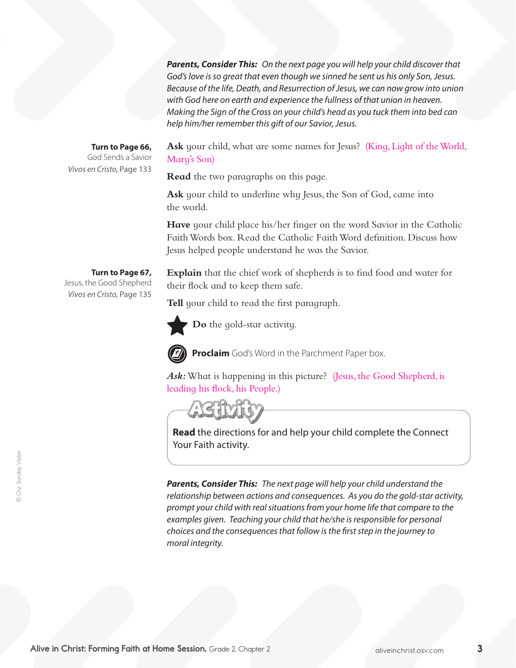*Parents, Consider This: On the next page you will help your child discover that God's love is so great that even though we sinned he sent us his only Son, Jesus. Because of the life, Death, and Resurrection of Jesus, we can now grow into union with God here on earth and experience the fullness of that union in heaven. Making the Sign of the Cross on your child's head as you tuck them into bed can help him/her remember this gift of our Savior, Jesus.*

#### **Turn to Page 66,**

God Sends a Savior *Vivos en Cristo,* Page 133

Ask your child, what are some names for Jesus? (King, Light of the World, Mary's Son)

**Read** the two paragraphs on this page.

Ask your child to underline why Jesus, the Son of God, came into the world.

**Have** your child place his/her finger on the word Savior in the Catholic FaithWords box. Read the Catholic FaithWord definition. Discuss how Jesus helped people understand he was the Savior.

**Explain** that the chief work of shepherds is to find food and water for their flock and to keep them safe.

**Tell** your child to read the first paragraph.



**Do** the gold-star activity.



**Proclaim** God's Word in the Parchment Paper box.

Ask: What is happening in this picture? (Jesus, the Good Shepherd, is leading his flock, his People.)

**Read** the directions for and help your child complete the Connect Your Faith activity.

*Parents, Consider This: The next page will help your child understand the relationship between actions and consequences. As you do the gold-star activity, prompt your child with real situations from your home life that compare to the examples given. Teaching your child that he/she is responsible for personal choices and the consequences that follow is the first step in the journey to moral integrity.*

# **Turn to Page 67,**

Jesus, the Good Shepherd *Vivos en Cristo,* Page 135